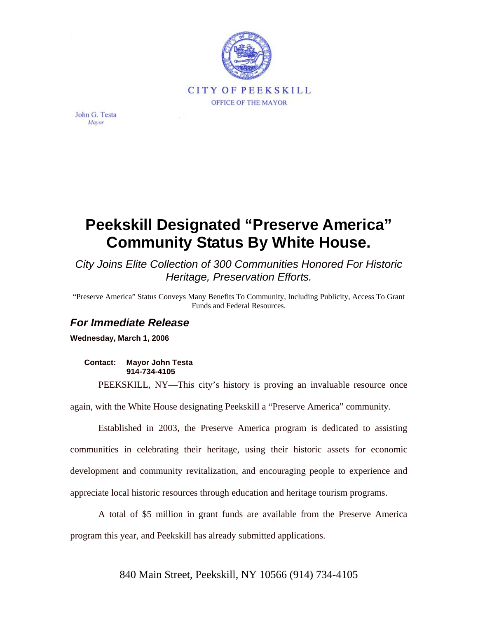

John G. Testa Mayor

## **Peekskill Designated "Preserve America" Community Status By White House.**

*City Joins Elite Collection of 300 Communities Honored For Historic Heritage, Preservation Efforts.* 

"Preserve America" Status Conveys Many Benefits To Community, Including Publicity, Access To Grant Funds and Federal Resources.

## *For Immediate Release*

**Wednesday, March 1, 2006** 

**Contact: Mayor John Testa 914-734-4105** 

PEEKSKILL, NY—This city's history is proving an invaluable resource once

again, with the White House designating Peekskill a "Preserve America" community.

Established in 2003, the Preserve America program is dedicated to assisting communities in celebrating their heritage, using their historic assets for economic development and community revitalization, and encouraging people to experience and appreciate local historic resources through education and heritage tourism programs.

A total of \$5 million in grant funds are available from the Preserve America program this year, and Peekskill has already submitted applications.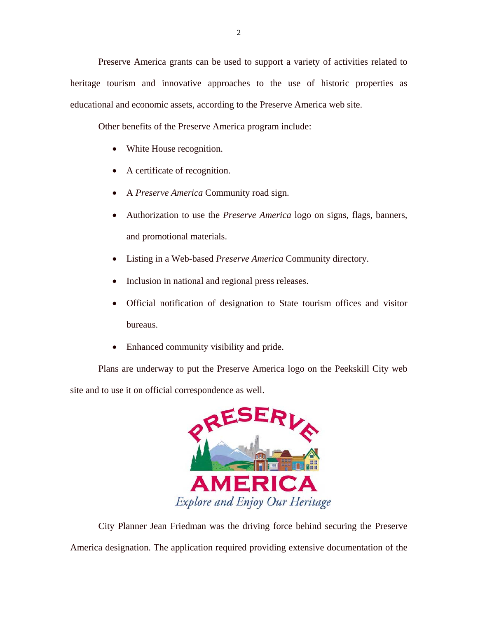Preserve America grants can be used to support a variety of activities related to heritage tourism and innovative approaches to the use of historic properties as educational and economic assets, according to the Preserve America web site.

Other benefits of the Preserve America program include:

- White House recognition.
- A certificate of recognition.
- A *Preserve America* Community road sign.
- Authorization to use the *Preserve America* logo on signs, flags, banners, and promotional materials.
- Listing in a Web-based *Preserve America* Community directory.
- Inclusion in national and regional press releases.
- Official notification of designation to State tourism offices and visitor bureaus.
- Enhanced community visibility and pride.

Plans are underway to put the Preserve America logo on the Peekskill City web site and to use it on official correspondence as well.



City Planner Jean Friedman was the driving force behind securing the Preserve America designation. The application required providing extensive documentation of the